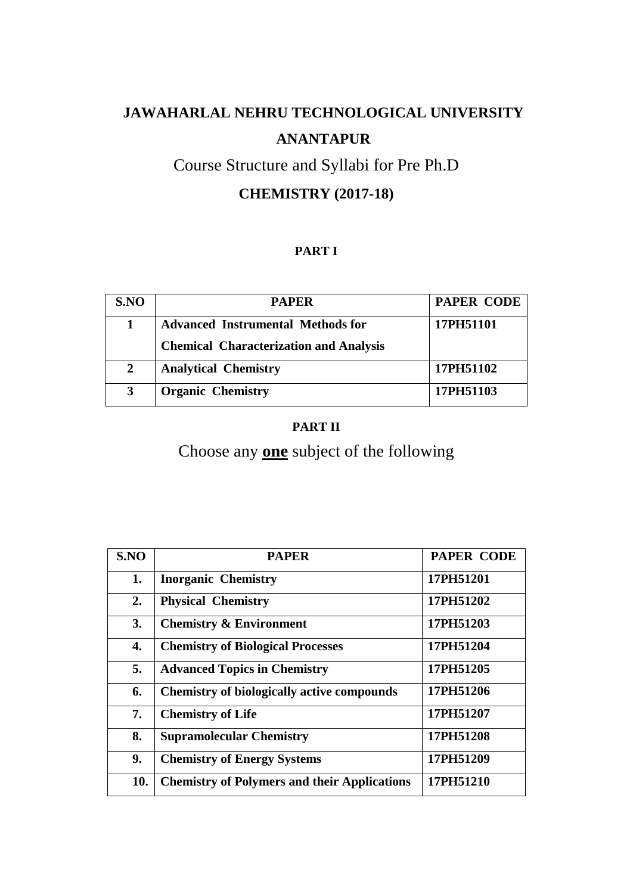# Course Structure and Syllabi for Pre Ph.D **CHEMISTRY (2017-18)**

# **PART I**

| SNO            | <b>PAPER</b>                                  | <b>PAPER CODE</b> |
|----------------|-----------------------------------------------|-------------------|
|                | <b>Advanced Instrumental Methods for</b>      | 17PH51101         |
|                | <b>Chemical Characterization and Analysis</b> |                   |
| $\overline{2}$ | <b>Analytical Chemistry</b>                   | 17PH51102         |
| 3              | <b>Organic Chemistry</b>                      | 17PH51103         |

# **PART II**

Choose any **one** subject of the following

| SNO | <b>PAPER</b>                                        | <b>PAPER CODE</b> |
|-----|-----------------------------------------------------|-------------------|
| 1.  | <b>Inorganic Chemistry</b>                          | 17PH51201         |
| 2.  | <b>Physical Chemistry</b>                           | 17PH51202         |
| 3.  | <b>Chemistry &amp; Environment</b>                  | 17PH51203         |
| 4.  | <b>Chemistry of Biological Processes</b>            | 17PH51204         |
| 5.  | <b>Advanced Topics in Chemistry</b>                 | 17PH51205         |
| 6.  | <b>Chemistry of biologically active compounds</b>   | 17PH51206         |
| 7.  | <b>Chemistry of Life</b>                            | 17PH51207         |
| 8.  | <b>Supramolecular Chemistry</b>                     | 17PH51208         |
| 9.  | <b>Chemistry of Energy Systems</b>                  | 17PH51209         |
| 10. | <b>Chemistry of Polymers and their Applications</b> | 17PH51210         |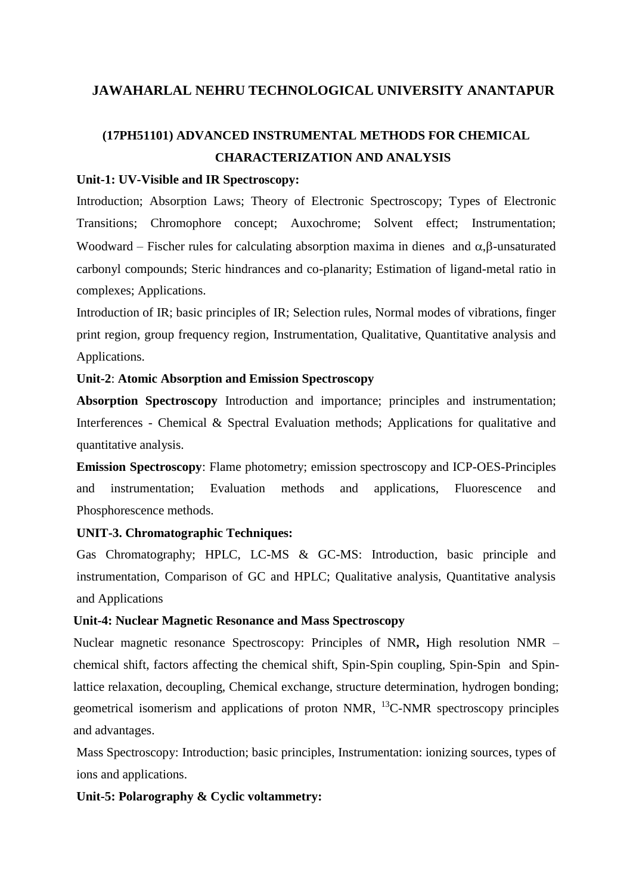# **(17PH51101) ADVANCED INSTRUMENTAL METHODS FOR CHEMICAL CHARACTERIZATION AND ANALYSIS**

#### **Unit-1: UV-Visible and IR Spectroscopy:**

Introduction; Absorption Laws; Theory of Electronic Spectroscopy; Types of Electronic Transitions; Chromophore concept; Auxochrome; Solvent effect; Instrumentation; Woodward – Fischer rules for calculating absorption maxima in dienes and  $\alpha$ ,  $\beta$ -unsaturated carbonyl compounds; Steric hindrances and co-planarity; Estimation of ligand-metal ratio in complexes; Applications.

Introduction of IR; basic principles of IR; Selection rules, Normal modes of vibrations, finger print region, group frequency region, Instrumentation, Qualitative, Quantitative analysis and Applications.

#### **Unit-2**: **Atomic Absorption and Emission Spectroscopy**

**Absorption Spectroscopy** Introduction and importance; principles and instrumentation; Interferences - Chemical & Spectral Evaluation methods; Applications for qualitative and quantitative analysis.

**Emission Spectroscopy**: Flame photometry; emission spectroscopy and ICP-OES-Principles and instrumentation; Evaluation methods and applications, Fluorescence and Phosphorescence methods.

#### **UNIT-3. Chromatographic Techniques:**

Gas Chromatography; HPLC, LC-MS & GC-MS: Introduction, basic principle and instrumentation, Comparison of GC and HPLC; Qualitative analysis, Quantitative analysis and Applications

### **Unit-4: Nuclear Magnetic Resonance and Mass Spectroscopy**

Nuclear magnetic resonance Spectroscopy: Principles of NMR**,** High resolution NMR – chemical shift, factors affecting the chemical shift, Spin-Spin coupling, Spin-Spin and Spinlattice relaxation, decoupling, Chemical exchange, structure determination, hydrogen bonding; geometrical isomerism and applications of proton NMR,  $^{13}$ C-NMR spectroscopy principles and advantages.

Mass Spectroscopy: Introduction; basic principles, Instrumentation: ionizing sources, types of ions and applications.

### **Unit-5: Polarography & Cyclic voltammetry:**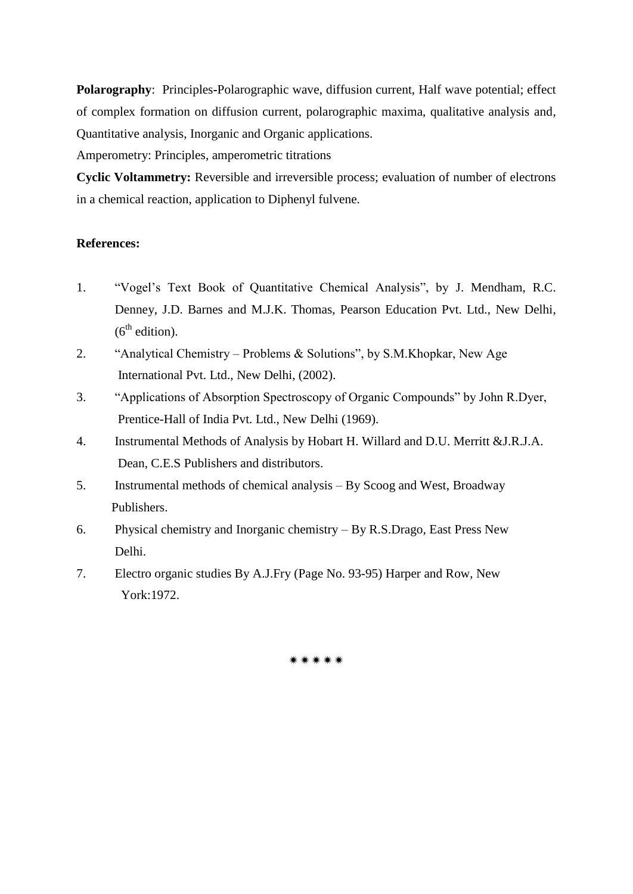**Polarography**: Principles**-**Polarographic wave, diffusion current, Half wave potential; effect of complex formation on diffusion current, polarographic maxima, qualitative analysis and, Quantitative analysis, Inorganic and Organic applications.

Amperometry: Principles, amperometric titrations

**Cyclic Voltammetry:** Reversible and irreversible process; evaluation of number of electrons in a chemical reaction, application to Diphenyl fulvene.

### **References:**

- 1. "Vogel"s Text Book of Quantitative Chemical Analysis", by J. Mendham, R.C. Denney, J.D. Barnes and M.J.K. Thomas, Pearson Education Pvt. Ltd., New Delhi,  $(6<sup>th</sup>$  edition).
- 2. "Analytical Chemistry Problems & Solutions", by S.M.Khopkar, New Age International Pvt. Ltd., New Delhi, (2002).
- 3. "Applications of Absorption Spectroscopy of Organic Compounds" by John R.Dyer, Prentice-Hall of India Pvt. Ltd., New Delhi (1969).
- 4. Instrumental Methods of Analysis by Hobart H. Willard and D.U. Merritt &J.R.J.A. Dean, C.E.S Publishers and distributors.
- 5. Instrumental methods of chemical analysis By Scoog and West, Broadway Publishers.
- 6. Physical chemistry and Inorganic chemistry By R.S.Drago, East Press New Delhi.
- 7. Electro organic studies By A.J.Fry (Page No. 93-95) Harper and Row, New York:1972.

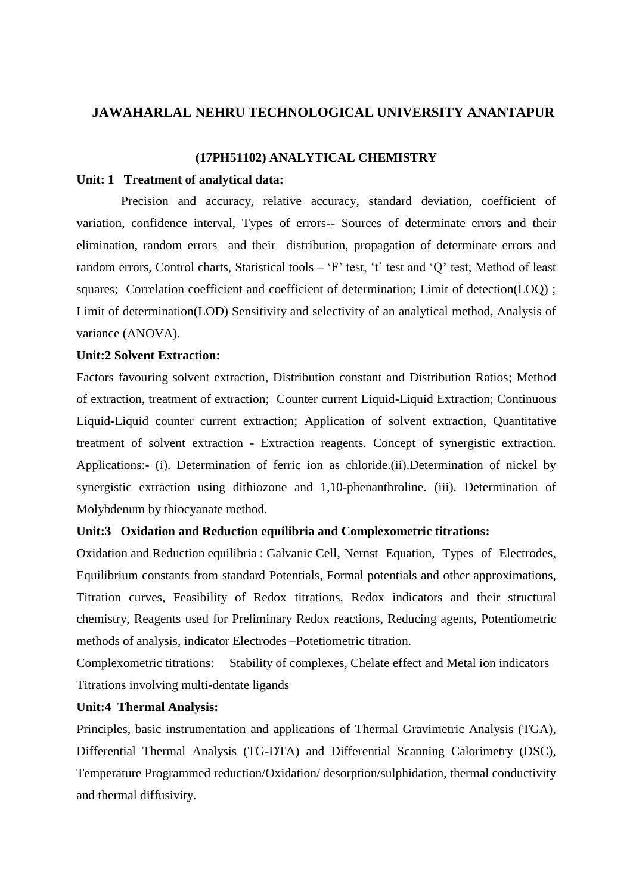#### **(17PH51102) ANALYTICAL CHEMISTRY**

#### **Unit: 1 Treatment of analytical data:**

 Precision and accuracy, relative accuracy, standard deviation, coefficient of variation, confidence interval, Types of errors-- Sources of determinate errors and their elimination, random errors and their distribution, propagation of determinate errors and random errors, Control charts, Statistical tools – "F" test, "t" test and "Q" test; Method of least squares; Correlation coefficient and coefficient of determination; Limit of detection(LOQ); Limit of determination(LOD) Sensitivity and selectivity of an analytical method, Analysis of variance (ANOVA).

#### **Unit:2 Solvent Extraction:**

Factors favouring solvent extraction, Distribution constant and Distribution Ratios; Method of extraction, treatment of extraction; Counter current Liquid-Liquid Extraction; Continuous Liquid-Liquid counter current extraction; Application of solvent extraction, Quantitative treatment of solvent extraction - Extraction reagents. Concept of synergistic extraction. Applications:- (i). Determination of ferric ion as chloride.(ii).Determination of nickel by synergistic extraction using dithiozone and 1,10-phenanthroline. (iii). Determination of Molybdenum by thiocyanate method.

#### **Unit:3 Oxidation and Reduction equilibria and Complexometric titrations:**

Oxidation and Reduction equilibria : Galvanic Cell, Nernst Equation, Types of Electrodes, Equilibrium constants from standard Potentials, Formal potentials and other approximations, Titration curves, Feasibility of Redox titrations, Redox indicators and their structural chemistry, Reagents used for Preliminary Redox reactions, Reducing agents, Potentiometric methods of analysis, indicator Electrodes –Potetiometric titration.

Complexometric titrations: Stability of complexes, Chelate effect and Metal ion indicators Titrations involving multi-dentate ligands

#### **Unit:4 Thermal Analysis:**

Principles, basic instrumentation and applications of Thermal Gravimetric Analysis (TGA), Differential Thermal Analysis (TG-DTA) and Differential Scanning Calorimetry (DSC), Temperature Programmed reduction/Oxidation/ desorption/sulphidation, thermal conductivity and thermal diffusivity.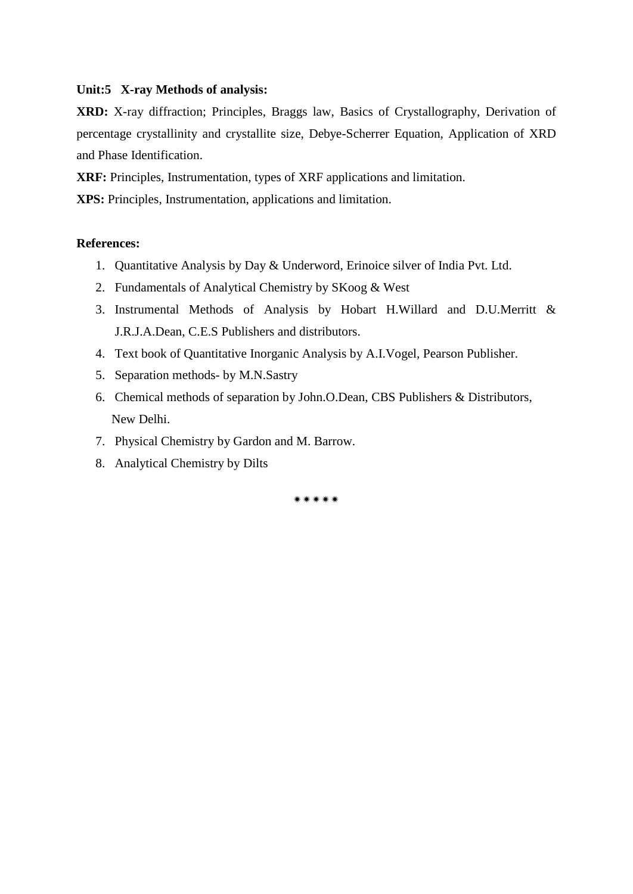#### **Unit:5 X-ray Methods of analysis:**

**XRD:** X-ray diffraction; Principles, Braggs law, Basics of Crystallography, Derivation of percentage crystallinity and crystallite size, Debye-Scherrer Equation, Application of XRD and Phase Identification.

**XRF:** Principles, Instrumentation, types of XRF applications and limitation.

**XPS:** Principles, Instrumentation, applications and limitation.

### **References:**

- 1. Quantitative Analysis by Day & Underword, Erinoice silver of India Pvt. Ltd.
- 2. Fundamentals of Analytical Chemistry by SKoog & West
- 3. Instrumental Methods of Analysis by Hobart H.Willard and D.U.Merritt & J.R.J.A.Dean, C.E.S Publishers and distributors.
- 4. Text book of Quantitative Inorganic Analysis by A.I.Vogel, Pearson Publisher.
- 5. Separation methods- by M.N.Sastry
- 6. Chemical methods of separation by John.O.Dean, CBS Publishers & Distributors, New Delhi.
- 7. Physical Chemistry by Gardon and M. Barrow.
- 8. Analytical Chemistry by Dilts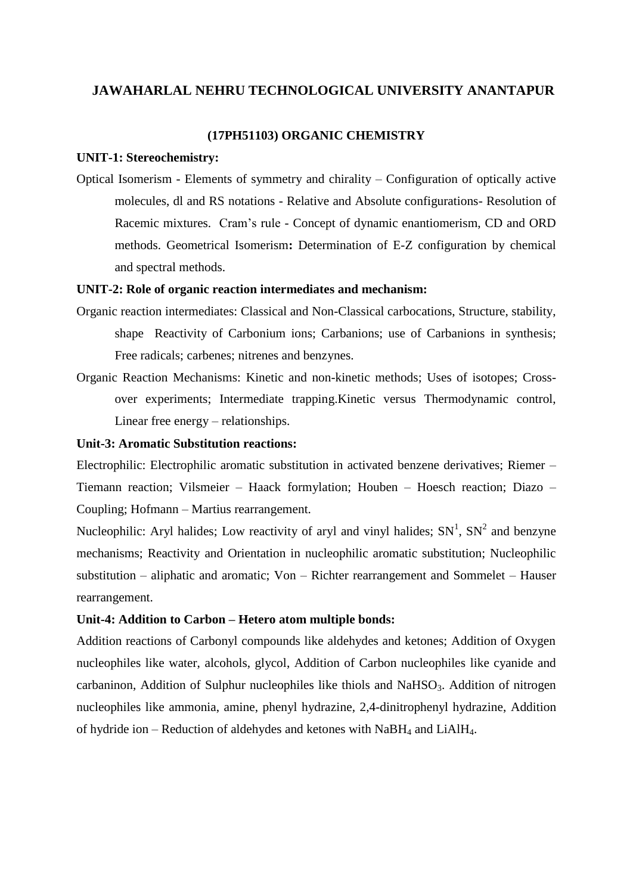#### **(17PH51103) ORGANIC CHEMISTRY**

#### **UNIT-1: Stereochemistry:**

Optical Isomerism - Elements of symmetry and chirality – Configuration of optically active molecules, dl and RS notations - Relative and Absolute configurations- Resolution of Racemic mixtures. Cram"s rule - Concept of dynamic enantiomerism, CD and ORD methods. Geometrical Isomerism**:** Determination of E-Z configuration by chemical and spectral methods.

#### **UNIT-2: Role of organic reaction intermediates and mechanism:**

- Organic reaction intermediates: Classical and Non-Classical carbocations, Structure, stability, shape Reactivity of Carbonium ions; Carbanions; use of Carbanions in synthesis; Free radicals; carbenes; nitrenes and benzynes.
- Organic Reaction Mechanisms: Kinetic and non-kinetic methods; Uses of isotopes; Crossover experiments; Intermediate trapping.Kinetic versus Thermodynamic control, Linear free energy – relationships.

#### **Unit-3: Aromatic Substitution reactions:**

Electrophilic: Electrophilic aromatic substitution in activated benzene derivatives; Riemer – Tiemann reaction; Vilsmeier – Haack formylation; Houben – Hoesch reaction; Diazo – Coupling; Hofmann – Martius rearrangement.

Nucleophilic: Aryl halides; Low reactivity of aryl and vinyl halides;  $SN<sup>1</sup>$ ,  $SN<sup>2</sup>$  and benzyne mechanisms; Reactivity and Orientation in nucleophilic aromatic substitution; Nucleophilic substitution – aliphatic and aromatic; Von – Richter rearrangement and Sommelet – Hauser rearrangement.

#### **Unit-4: Addition to Carbon – Hetero atom multiple bonds:**

Addition reactions of Carbonyl compounds like aldehydes and ketones; Addition of Oxygen nucleophiles like water, alcohols, glycol, Addition of Carbon nucleophiles like cyanide and carbaninon, Addition of Sulphur nucleophiles like thiols and NaHSO<sub>3</sub>. Addition of nitrogen nucleophiles like ammonia, amine, phenyl hydrazine, 2,4-dinitrophenyl hydrazine, Addition of hydride ion – Reduction of aldehydes and ketones with  $NabH_4$  and  $LiAlH_4$ .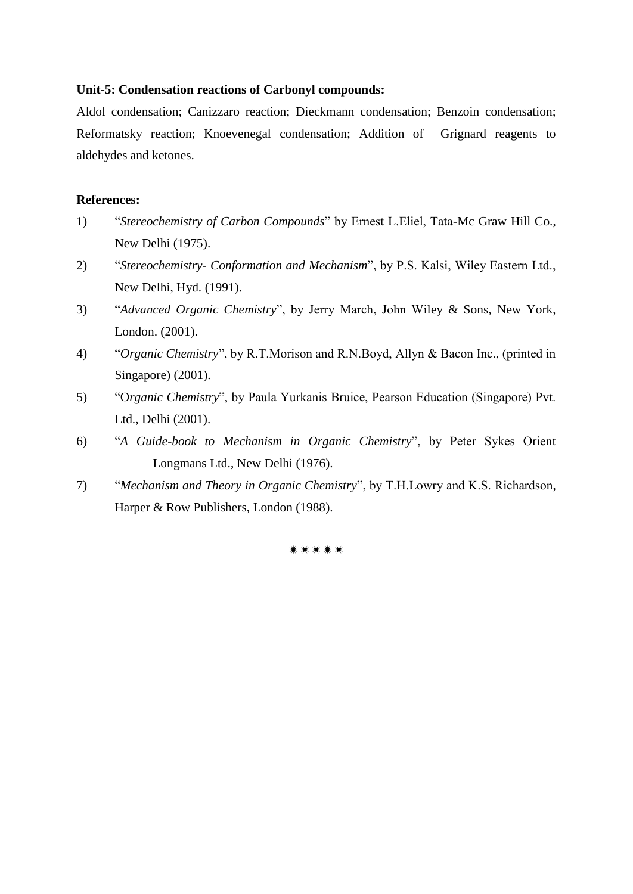#### **Unit-5: Condensation reactions of Carbonyl compounds:**

Aldol condensation; Canizzaro reaction; Dieckmann condensation; Benzoin condensation; Reformatsky reaction; Knoevenegal condensation; Addition of Grignard reagents to aldehydes and ketones.

#### **References:**

- 1) "*Stereochemistry of Carbon Compounds*" by Ernest L.Eliel, Tata-Mc Graw Hill Co., New Delhi (1975).
- 2) "*Stereochemistry- Conformation and Mechanism*", by P.S. Kalsi, Wiley Eastern Ltd., New Delhi, Hyd. (1991).
- 3) "*Advanced Organic Chemistry*", by Jerry March, John Wiley & Sons, New York, London. (2001).
- 4) "*Organic Chemistry*", by R.T.Morison and R.N.Boyd, Allyn & Bacon Inc., (printed in Singapore) (2001).
- 5) "O*rganic Chemistry*", by Paula Yurkanis Bruice, Pearson Education (Singapore) Pvt. Ltd., Delhi (2001).
- 6) "*A Guide-book to Mechanism in Organic Chemistry*", by Peter Sykes Orient Longmans Ltd., New Delhi (1976).
- 7) "*Mechanism and Theory in Organic Chemistry*", by T.H.Lowry and K.S. Richardson, Harper & Row Publishers, London (1988).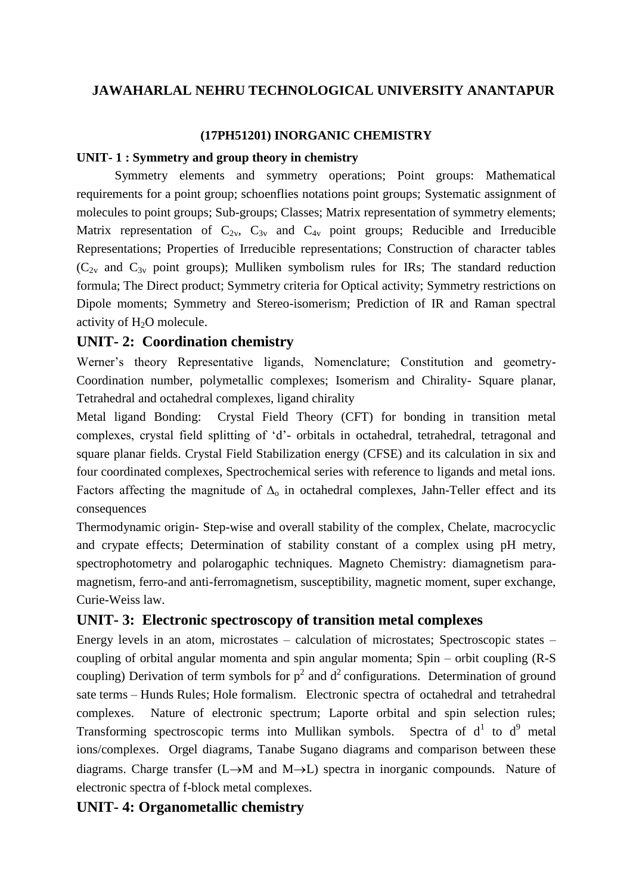### **(17PH51201) INORGANIC CHEMISTRY**

# **UNIT- 1 : Symmetry and group theory in chemistry**

Symmetry elements and symmetry operations; Point groups: Mathematical requirements for a point group; schoenflies notations point groups; Systematic assignment of molecules to point groups; Sub-groups; Classes; Matrix representation of symmetry elements; Matrix representation of  $C_{2v}$ ,  $C_{3v}$  and  $C_{4v}$  point groups; Reducible and Irreducible Representations; Properties of Irreducible representations; Construction of character tables  $(C_{2v}$  and  $C_{3v}$  point groups); Mulliken symbolism rules for IRs; The standard reduction formula; The Direct product; Symmetry criteria for Optical activity; Symmetry restrictions on Dipole moments; Symmetry and Stereo-isomerism; Prediction of IR and Raman spectral activity of H<sub>2</sub>O molecule.

# **UNIT- 2: Coordination chemistry**

Werner's theory Representative ligands, Nomenclature; Constitution and geometry-Coordination number, polymetallic complexes; Isomerism and Chirality- Square planar, Tetrahedral and octahedral complexes, ligand chirality

Metal ligand Bonding:Crystal Field Theory (CFT) for bonding in transition metal complexes, crystal field splitting of "d"- orbitals in octahedral, tetrahedral, tetragonal and square planar fields. Crystal Field Stabilization energy (CFSE) and its calculation in six and four coordinated complexes, Spectrochemical series with reference to ligands and metal ions. Factors affecting the magnitude of  $\Delta_0$  in octahedral complexes, Jahn-Teller effect and its consequences

Thermodynamic origin- Step-wise and overall stability of the complex, Chelate, macrocyclic and crypate effects; Determination of stability constant of a complex using pH metry, spectrophotometry and polarogaphic techniques. Magneto Chemistry: diamagnetism paramagnetism, ferro-and anti-ferromagnetism, susceptibility, magnetic moment, super exchange, Curie-Weiss law.

# **UNIT- 3: Electronic spectroscopy of transition metal complexes**

Energy levels in an atom, microstates – calculation of microstates; Spectroscopic states – coupling of orbital angular momenta and spin angular momenta; Spin – orbit coupling (R-S coupling) Derivation of term symbols for  $p^2$  and  $d^2$  configurations. Determination of ground sate terms – Hunds Rules; Hole formalism. Electronic spectra of octahedral and tetrahedral complexes. Nature of electronic spectrum; Laporte orbital and spin selection rules; Transforming spectroscopic terms into Mullikan symbols. Spectra of  $d^1$  to  $d^9$  metal ions/complexes. Orgel diagrams, Tanabe Sugano diagrams and comparison between these diagrams. Charge transfer (L $\rightarrow$ M and M $\rightarrow$ L) spectra in inorganic compounds. Nature of electronic spectra of f-block metal complexes.

# **UNIT- 4: Organometallic chemistry**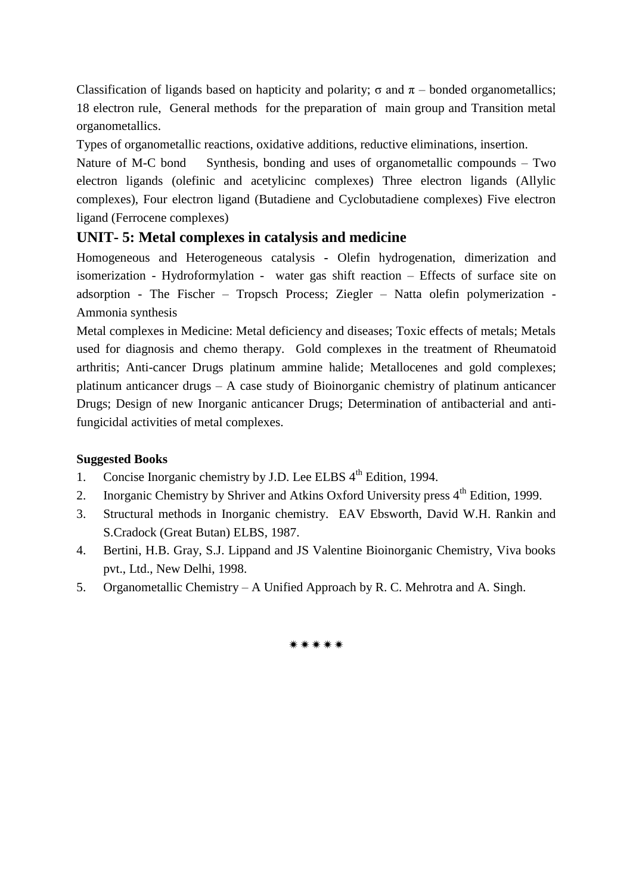Classification of ligands based on hapticity and polarity; σ and  $π$  – bonded organometallics; 18 electron rule, General methods for the preparation of main group and Transition metal organometallics.

Types of organometallic reactions, oxidative additions, reductive eliminations, insertion.

Nature of M-C bond Synthesis, bonding and uses of organometallic compounds – Two electron ligands (olefinic and acetylicinc complexes) Three electron ligands (Allylic complexes), Four electron ligand (Butadiene and Cyclobutadiene complexes) Five electron ligand (Ferrocene complexes)

# **UNIT- 5: Metal complexes in catalysis and medicine**

Homogeneous and Heterogeneous catalysis **-** Olefin hydrogenation, dimerization and isomerization - Hydroformylation - water gas shift reaction – Effects of surface site on adsorption - The Fischer – Tropsch Process; Ziegler – Natta olefin polymerization - Ammonia synthesis

Metal complexes in Medicine: Metal deficiency and diseases; Toxic effects of metals; Metals used for diagnosis and chemo therapy. Gold complexes in the treatment of Rheumatoid arthritis; Anti-cancer Drugs platinum ammine halide; Metallocenes and gold complexes; platinum anticancer drugs – A case study of Bioinorganic chemistry of platinum anticancer Drugs; Design of new Inorganic anticancer Drugs; Determination of antibacterial and antifungicidal activities of metal complexes.

### **Suggested Books**

- 1. Concise Inorganic chemistry by J.D. Lee ELBS  $4<sup>th</sup>$  Edition, 1994.
- 2. Inorganic Chemistry by Shriver and Atkins Oxford University press  $4<sup>th</sup>$  Edition, 1999.
- 3. Structural methods in Inorganic chemistry. EAV Ebsworth, David W.H. Rankin and S.Cradock (Great Butan) ELBS, 1987.
- 4. Bertini, H.B. Gray, S.J. Lippand and JS Valentine Bioinorganic Chemistry, Viva books pvt., Ltd., New Delhi, 1998.
- 5. Organometallic Chemistry A Unified Approach by R. C. Mehrotra and A. Singh.

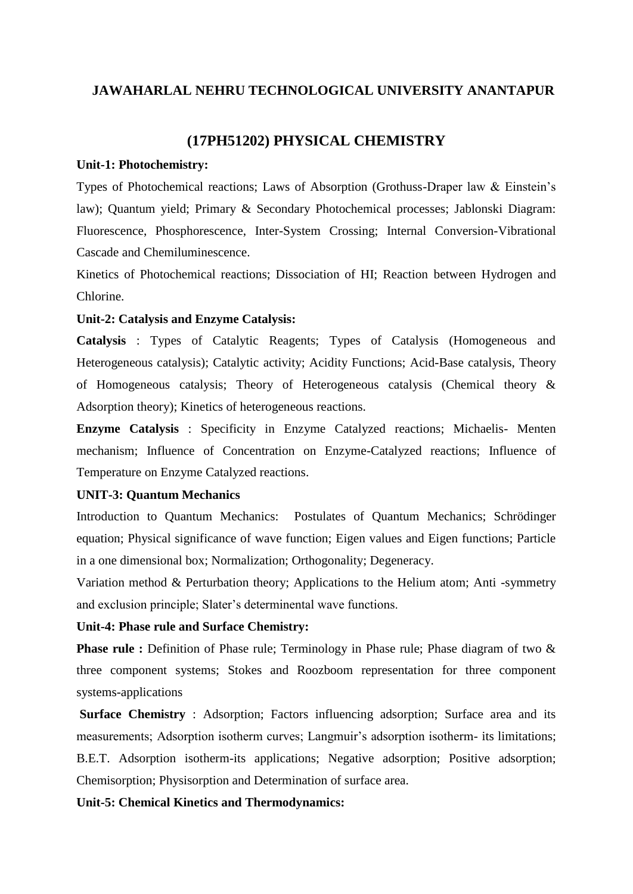### **(17PH51202) PHYSICAL CHEMISTRY**

#### **Unit-1: Photochemistry:**

Types of Photochemical reactions; Laws of Absorption (Grothuss-Draper law & Einstein"s law); Quantum yield; Primary & Secondary Photochemical processes; Jablonski Diagram: Fluorescence, Phosphorescence, Inter-System Crossing; Internal Conversion-Vibrational Cascade and Chemiluminescence.

Kinetics of Photochemical reactions; Dissociation of HI; Reaction between Hydrogen and Chlorine.

#### **Unit-2: Catalysis and Enzyme Catalysis:**

**Catalysis** : Types of Catalytic Reagents; Types of Catalysis (Homogeneous and Heterogeneous catalysis); Catalytic activity; Acidity Functions; Acid-Base catalysis, Theory of Homogeneous catalysis; Theory of Heterogeneous catalysis (Chemical theory & Adsorption theory); Kinetics of heterogeneous reactions.

**Enzyme Catalysis** : Specificity in Enzyme Catalyzed reactions; Michaelis- Menten mechanism; Influence of Concentration on Enzyme-Catalyzed reactions; Influence of Temperature on Enzyme Catalyzed reactions.

#### **UNIT-3: Quantum Mechanics**

Introduction to Quantum Mechanics: Postulates of Quantum Mechanics; Schrödinger equation; Physical significance of wave function; Eigen values and Eigen functions; Particle in a one dimensional box; Normalization; Orthogonality; Degeneracy.

Variation method & Perturbation theory; Applications to the Helium atom; Anti -symmetry and exclusion principle; Slater's determinental wave functions.

#### **Unit-4: Phase rule and Surface Chemistry:**

**Phase rule :** Definition of Phase rule; Terminology in Phase rule; Phase diagram of two & three component systems; Stokes and Roozboom representation for three component systems-applications

**Surface Chemistry** : Adsorption; Factors influencing adsorption; Surface area and its measurements; Adsorption isotherm curves; Langmuir's adsorption isotherm- its limitations; B.E.T. Adsorption isotherm-its applications; Negative adsorption; Positive adsorption; Chemisorption; Physisorption and Determination of surface area.

#### **Unit-5: Chemical Kinetics and Thermodynamics:**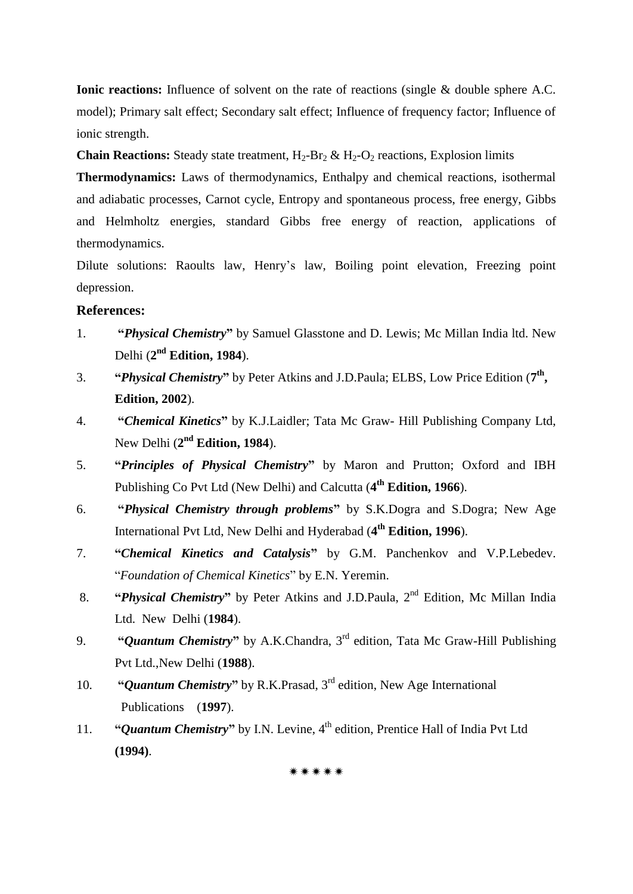**Ionic reactions:** Influence of solvent on the rate of reactions (single & double sphere A.C. model); Primary salt effect; Secondary salt effect; Influence of frequency factor; Influence of ionic strength.

**Chain Reactions:** Steady state treatment,  $H_2-H_2 \& H_2-O_2$  reactions, Explosion limits

**Thermodynamics:** Laws of thermodynamics, Enthalpy and chemical reactions, isothermal and adiabatic processes, Carnot cycle, Entropy and spontaneous process, free energy, Gibbs and Helmholtz energies, standard Gibbs free energy of reaction, applications of thermodynamics.

Dilute solutions: Raoults law, Henry"s law, Boiling point elevation, Freezing point depression.

#### **References:**

- 1. **"***Physical Chemistry***"** by Samuel Glasstone and D. Lewis; Mc Millan India ltd. New Delhi (**2 nd Edition, 1984**).
- 3. **"***Physical Chemistry***"** by Peter Atkins and J.D.Paula; ELBS, Low Price Edition (**7 th , Edition, 2002**).
- 4. **"***Chemical Kinetics***"** by K.J.Laidler; Tata Mc Graw- Hill Publishing Company Ltd, New Delhi (2<sup>nd</sup> Edition, 1984).
- 5. **"***Principles of Physical Chemistry***"** by Maron and Prutton; Oxford and IBH Publishing Co Pvt Ltd (New Delhi) and Calcutta (4<sup>th</sup> Edition, 1966).
- 6. **"***Physical Chemistry through problems***"** by S.K.Dogra and S.Dogra; New Age International Pvt Ltd, New Delhi and Hyderabad (**4 th Edition, 1996**).
- 7. **"***Chemical Kinetics and Catalysis***"** by G.M. Panchenkov and V.P.Lebedev. "*Foundation of Chemical Kinetics*" by E.N. Yeremin.
- 8. **"Physical Chemistry"** by Peter Atkins and J.D.Paula, 2<sup>nd</sup> Edition, Mc Millan India Ltd. New Delhi (**1984**).
- 9. **"***Quantum Chemistry***"** by A.K.Chandra, 3 rd edition, Tata Mc Graw-Hill Publishing Pvt Ltd.,New Delhi (**1988**).
- 10. **"***Quantum Chemistry***"** by R.K.Prasad, 3rd edition, New Age International Publications (**1997**).
- 11. **"Quantum Chemistry"** by I.N. Levine, 4<sup>th</sup> edition, Prentice Hall of India Pvt Ltd **(1994)**.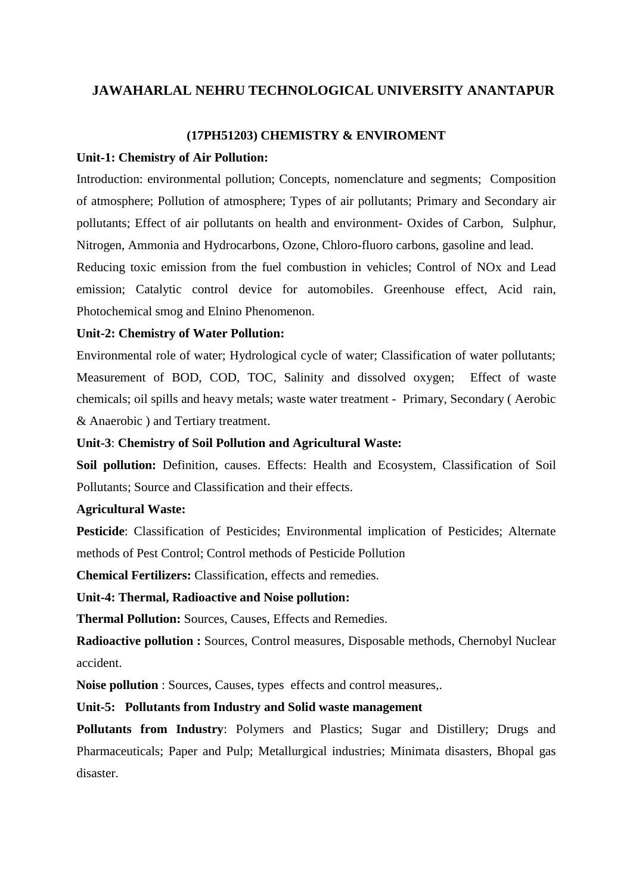#### **(17PH51203) CHEMISTRY & ENVIROMENT**

#### **Unit-1: Chemistry of Air Pollution:**

Introduction: environmental pollution; Concepts, nomenclature and segments; Composition of atmosphere; Pollution of atmosphere; Types of air pollutants; Primary and Secondary air pollutants; Effect of air pollutants on health and environment- Oxides of Carbon, Sulphur, Nitrogen, Ammonia and Hydrocarbons, Ozone, Chloro-fluoro carbons, gasoline and lead.

Reducing toxic emission from the fuel combustion in vehicles; Control of NOx and Lead emission; Catalytic control device for automobiles. Greenhouse effect, Acid rain, Photochemical smog and Elnino Phenomenon.

#### **Unit-2: Chemistry of Water Pollution:**

Environmental role of water; Hydrological cycle of water; Classification of water pollutants; Measurement of BOD, COD, TOC, Salinity and dissolved oxygen; Effect of waste chemicals; oil spills and heavy metals; waste water treatment - Primary, Secondary ( Aerobic & Anaerobic ) and Tertiary treatment.

#### **Unit-3**: **Chemistry of Soil Pollution and Agricultural Waste:**

**Soil pollution:** Definition, causes. Effects: Health and Ecosystem, Classification of Soil Pollutants; Source and Classification and their effects.

#### **Agricultural Waste:**

**Pesticide**: Classification of Pesticides; Environmental implication of Pesticides; Alternate methods of Pest Control; Control methods of Pesticide Pollution

**Chemical Fertilizers:** Classification, effects and remedies.

**Unit-4: Thermal, Radioactive and Noise pollution:**

**Thermal Pollution:** Sources, Causes, Effects and Remedies.

**Radioactive pollution :** Sources, Control measures, Disposable methods, Chernobyl Nuclear accident.

**Noise pollution** : Sources, Causes, types effects and control measures,.

#### **Unit-5: Pollutants from Industry and Solid waste management**

**Pollutants from Industry**: Polymers and Plastics; Sugar and Distillery; Drugs and Pharmaceuticals; Paper and Pulp; Metallurgical industries; Minimata disasters, Bhopal gas disaster.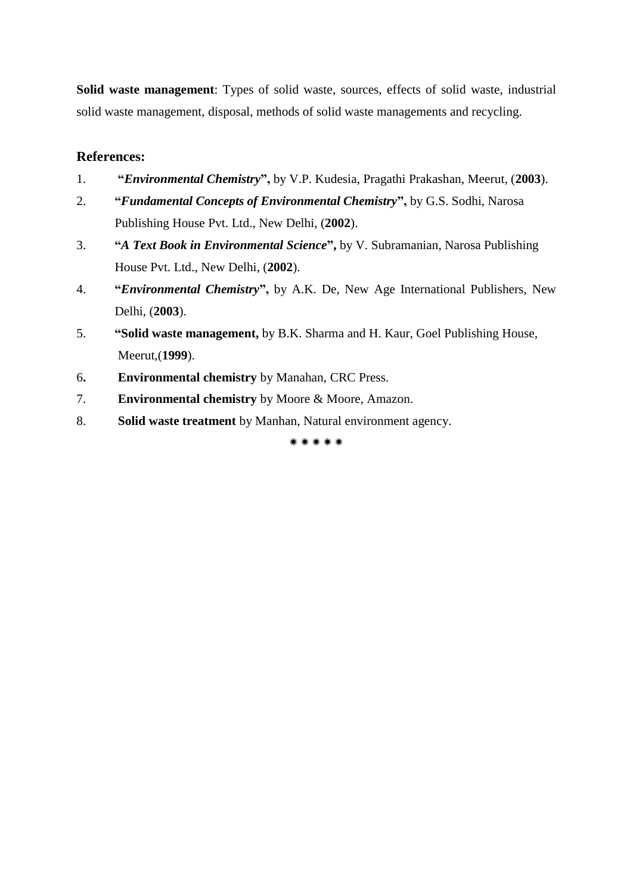**Solid waste management**: Types of solid waste, sources, effects of solid waste, industrial solid waste management, disposal, methods of solid waste managements and recycling.

# **References:**

- 1. **"***Environmental Chemistry***",** by V.P. Kudesia, Pragathi Prakashan, Meerut, (**2003**).
- 2. **"***Fundamental Concepts of Environmental Chemistry***",** by G.S. Sodhi, Narosa Publishing House Pvt. Ltd., New Delhi, (**2002**).
- 3. **"***A Text Book in Environmental Science***",** by V. Subramanian, Narosa Publishing House Pvt. Ltd., New Delhi, (**2002**).
- 4. **"***Environmental Chemistry***",** by A.K. De, New Age International Publishers, New Delhi, (**2003**).
- 5. **"Solid waste management,** by B.K. Sharma and H. Kaur, Goel Publishing House, Meerut,(**1999**).
- 6**. Environmental chemistry** by Manahan, CRC Press.
- 7. **Environmental chemistry** by Moore & Moore, Amazon.
- 8. **Solid waste treatment** by Manhan, Natural environment agency.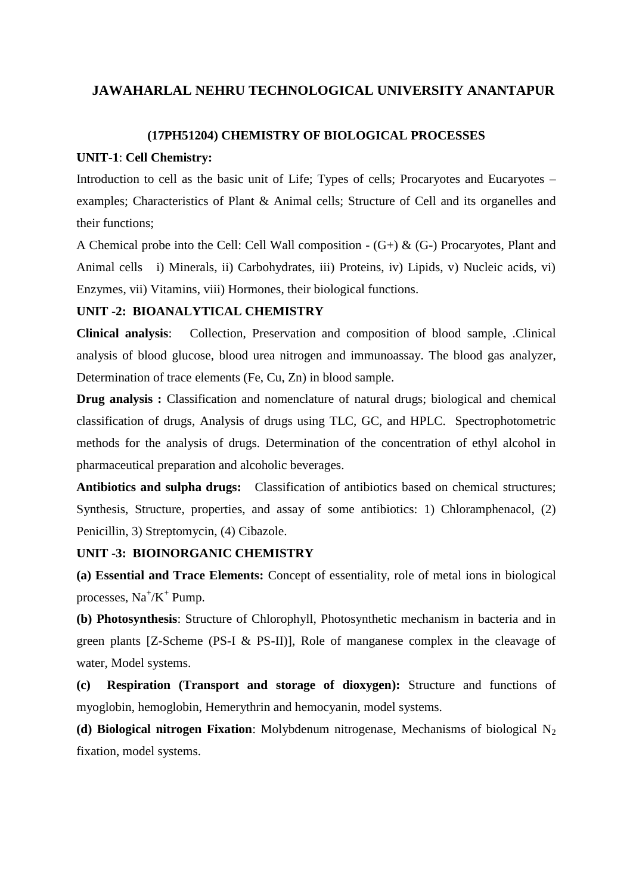#### **(17PH51204) CHEMISTRY OF BIOLOGICAL PROCESSES**

#### **UNIT-1**: **Cell Chemistry:**

Introduction to cell as the basic unit of Life; Types of cells; Procaryotes and Eucaryotes – examples; Characteristics of Plant & Animal cells; Structure of Cell and its organelles and their functions;

A Chemical probe into the Cell: Cell Wall composition - (G+) & (G-) Procaryotes, Plant and Animal cells i) Minerals, ii) Carbohydrates, iii) Proteins, iv) Lipids, v) Nucleic acids, vi) Enzymes, vii) Vitamins, viii) Hormones, their biological functions.

#### **UNIT -2: BIOANALYTICAL CHEMISTRY**

**Clinical analysis**: Collection, Preservation and composition of blood sample, .Clinical analysis of blood glucose, blood urea nitrogen and immunoassay. The blood gas analyzer, Determination of trace elements (Fe, Cu, Zn) in blood sample.

**Drug analysis :** Classification and nomenclature of natural drugs; biological and chemical classification of drugs, Analysis of drugs using TLC, GC, and HPLC. Spectrophotometric methods for the analysis of drugs. Determination of the concentration of ethyl alcohol in pharmaceutical preparation and alcoholic beverages.

**Antibiotics and sulpha drugs:** Classification of antibiotics based on chemical structures; Synthesis, Structure, properties, and assay of some antibiotics: 1) Chloramphenacol, (2) Penicillin, 3) Streptomycin, (4) Cibazole.

#### **UNIT -3: BIOINORGANIC CHEMISTRY**

**(a) Essential and Trace Elements:** Concept of essentiality, role of metal ions in biological processes,  $Na^+/K^+$  Pump.

**(b) Photosynthesis**: Structure of Chlorophyll, Photosynthetic mechanism in bacteria and in green plants [Z-Scheme (PS-I & PS-II)], Role of manganese complex in the cleavage of water, Model systems.

**(c) Respiration (Transport and storage of dioxygen):** Structure and functions of myoglobin, hemoglobin, Hemerythrin and hemocyanin, model systems.

**(d) Biological nitrogen Fixation:** Molybdenum nitrogenase, Mechanisms of biological N<sub>2</sub> fixation, model systems.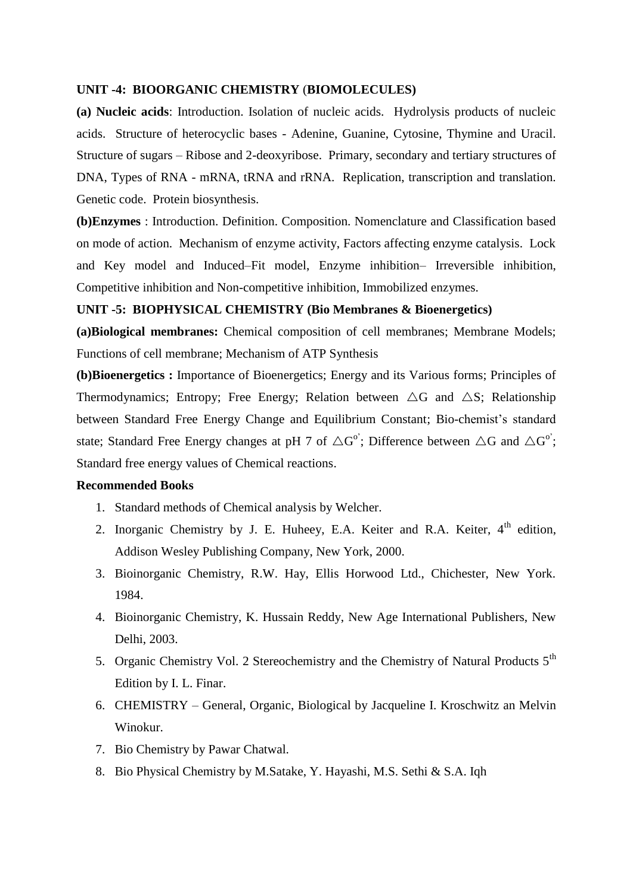#### **UNIT -4: BIOORGANIC CHEMISTRY** (**BIOMOLECULES)**

**(a) Nucleic acids**: Introduction. Isolation of nucleic acids. Hydrolysis products of nucleic acids. Structure of heterocyclic bases - Adenine, Guanine, Cytosine, Thymine and Uracil. Structure of sugars – Ribose and 2-deoxyribose. Primary, secondary and tertiary structures of DNA, Types of RNA - mRNA, tRNA and rRNA. Replication, transcription and translation. Genetic code. Protein biosynthesis.

**(b)Enzymes** : Introduction. Definition. Composition. Nomenclature and Classification based on mode of action. Mechanism of enzyme activity, Factors affecting enzyme catalysis. Lock and Key model and Induced–Fit model, Enzyme inhibition– Irreversible inhibition, Competitive inhibition and Non-competitive inhibition, Immobilized enzymes.

#### **UNIT -5: BIOPHYSICAL CHEMISTRY (Bio Membranes & Bioenergetics)**

**(a)Biological membranes:** Chemical composition of cell membranes; Membrane Models; Functions of cell membrane; Mechanism of ATP Synthesis

**(b)Bioenergetics :** Importance of Bioenergetics; Energy and its Various forms; Principles of Thermodynamics; Entropy; Free Energy; Relation between  $\triangle G$  and  $\triangle S$ ; Relationship between Standard Free Energy Change and Equilibrium Constant; Bio-chemist's standard state; Standard Free Energy changes at pH 7 of  $\triangle G^{\circ}$ ; Difference between  $\triangle G$  and  $\triangle G^{\circ}$ ; Standard free energy values of Chemical reactions.

#### **Recommended Books**

- 1. Standard methods of Chemical analysis by Welcher.
- 2. Inorganic Chemistry by J. E. Huheey, E.A. Keiter and R.A. Keiter,  $4<sup>th</sup>$  edition, Addison Wesley Publishing Company, New York, 2000.
- 3. Bioinorganic Chemistry, R.W. Hay, Ellis Horwood Ltd., Chichester, New York. 1984.
- 4. Bioinorganic Chemistry, K. Hussain Reddy, New Age International Publishers, New Delhi, 2003.
- 5. Organic Chemistry Vol. 2 Stereochemistry and the Chemistry of Natural Products 5<sup>th</sup> Edition by I. L. Finar.
- 6. CHEMISTRY General, Organic, Biological by Jacqueline I. Kroschwitz an Melvin Winokur.
- 7. Bio Chemistry by Pawar Chatwal.
- 8. Bio Physical Chemistry by M.Satake, Y. Hayashi, M.S. Sethi & S.A. Iqh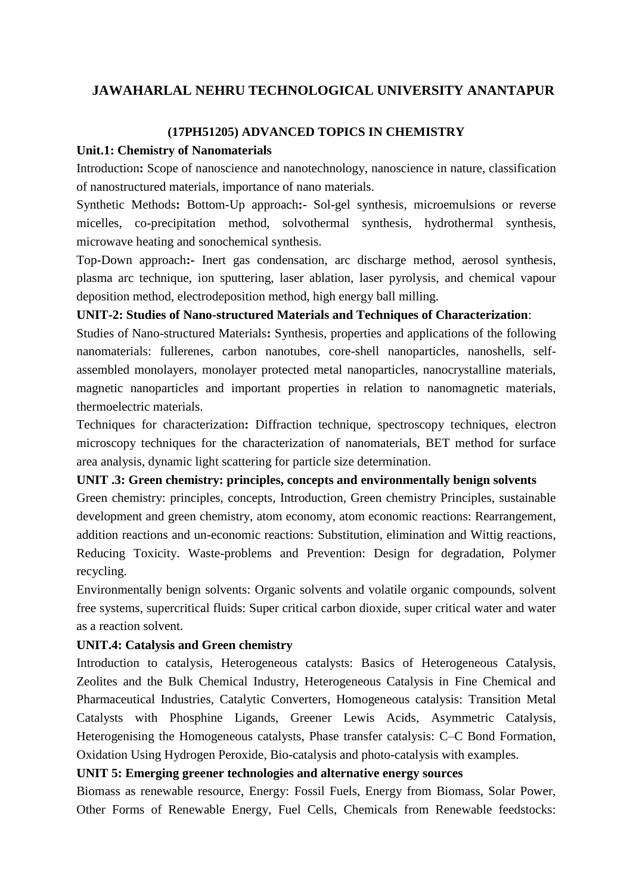### **(17PH51205) ADVANCED TOPICS IN CHEMISTRY**

### **Unit.1: Chemistry of Nanomaterials**

Introduction**:** Scope of nanoscience and nanotechnology, nanoscience in nature, classification of nanostructured materials, importance of nano materials.

Synthetic Methods**:** Bottom-Up approach**:-** Sol-gel synthesis, microemulsions or reverse micelles, co-precipitation method, solvothermal synthesis, hydrothermal synthesis, microwave heating and sonochemical synthesis.

Top-Down approach**:-** Inert gas condensation, arc discharge method, aerosol synthesis, plasma arc technique, ion sputtering, laser ablation, laser pyrolysis, and chemical vapour deposition method, electrodeposition method, high energy ball milling.

### **UNIT-2: Studies of Nano-structured Materials and Techniques of Characterization**:

Studies of Nano-structured Materials**:** Synthesis, properties and applications of the following nanomaterials: fullerenes, carbon nanotubes, core-shell nanoparticles, nanoshells, selfassembled monolayers, monolayer protected metal nanoparticles, nanocrystalline materials, magnetic nanoparticles and important properties in relation to nanomagnetic materials, thermoelectric materials.

Techniques for characterization**:** Diffraction technique, spectroscopy techniques, electron microscopy techniques for the characterization of nanomaterials, BET method for surface area analysis, dynamic light scattering for particle size determination.

#### **UNIT .3: Green chemistry: principles, concepts and environmentally benign solvents**

Green chemistry: principles, concepts, Introduction, Green chemistry Principles, sustainable development and green chemistry, atom economy, atom economic reactions: Rearrangement, addition reactions and un-economic reactions: Substitution, elimination and Wittig reactions, Reducing Toxicity. Waste-problems and Prevention: Design for degradation, Polymer recycling.

Environmentally benign solvents: Organic solvents and volatile organic compounds, solvent free systems, supercritical fluids: Super critical carbon dioxide, super critical water and water as a reaction solvent.

### **UNIT.4: Catalysis and Green chemistry**

Introduction to catalysis, Heterogeneous catalysts: Basics of Heterogeneous Catalysis, Zeolites and the Bulk Chemical Industry, Heterogeneous Catalysis in Fine Chemical and Pharmaceutical Industries, Catalytic Converters, Homogeneous catalysis: Transition Metal Catalysts with Phosphine Ligands, Greener Lewis Acids, Asymmetric Catalysis, Heterogenising the Homogeneous catalysts, Phase transfer catalysis: C–C Bond Formation, Oxidation Using Hydrogen Peroxide, Bio-catalysis and photo-catalysis with examples.

# **UNIT 5: Emerging greener technologies and alternative energy sources**

Biomass as renewable resource, Energy: Fossil Fuels, Energy from Biomass, Solar Power, Other Forms of Renewable Energy, Fuel Cells, Chemicals from Renewable feedstocks: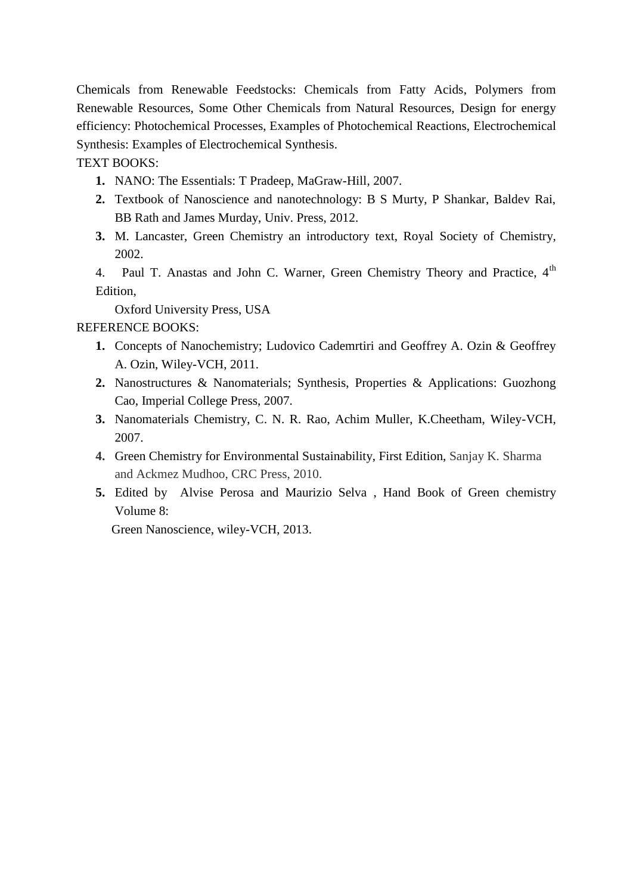Chemicals from Renewable Feedstocks: Chemicals from Fatty Acids, Polymers from Renewable Resources, Some Other Chemicals from Natural Resources, Design for energy efficiency: Photochemical Processes, Examples of Photochemical Reactions, Electrochemical Synthesis: Examples of Electrochemical Synthesis.

TEXT BOOKS:

- **1.** NANO: The Essentials: T Pradeep, MaGraw-Hill, 2007.
- **2.** Textbook of Nanoscience and nanotechnology: B S Murty, P Shankar, Baldev Rai, BB Rath and James Murday, Univ. Press, 2012.
- **3.** M. Lancaster, Green Chemistry an introductory text, Royal Society of Chemistry, 2002.

4. Paul T. Anastas and John C. Warner, Green Chemistry Theory and Practice, 4<sup>th</sup> Edition,

Oxford University Press, USA

### REFERENCE BOOKS:

- **1.** Concepts of Nanochemistry; Ludovico Cademrtiri and Geoffrey A. Ozin & Geoffrey A. Ozin, Wiley-VCH, 2011.
- **2.** Nanostructures & Nanomaterials; Synthesis, Properties & Applications: Guozhong Cao, Imperial College Press, 2007.
- **3.** Nanomaterials Chemistry, C. N. R. Rao, Achim Muller, K.Cheetham, Wiley-VCH, 2007.
- **4.** Green Chemistry for Environmental Sustainability, First Edition, Sanjay K. Sharma and Ackmez Mudhoo, CRC Press, 2010.
- **5.** Edited by Alvise Perosa and Maurizio Selva , Hand Book of Green chemistry Volume 8:

Green Nanoscience, wiley-VCH, 2013.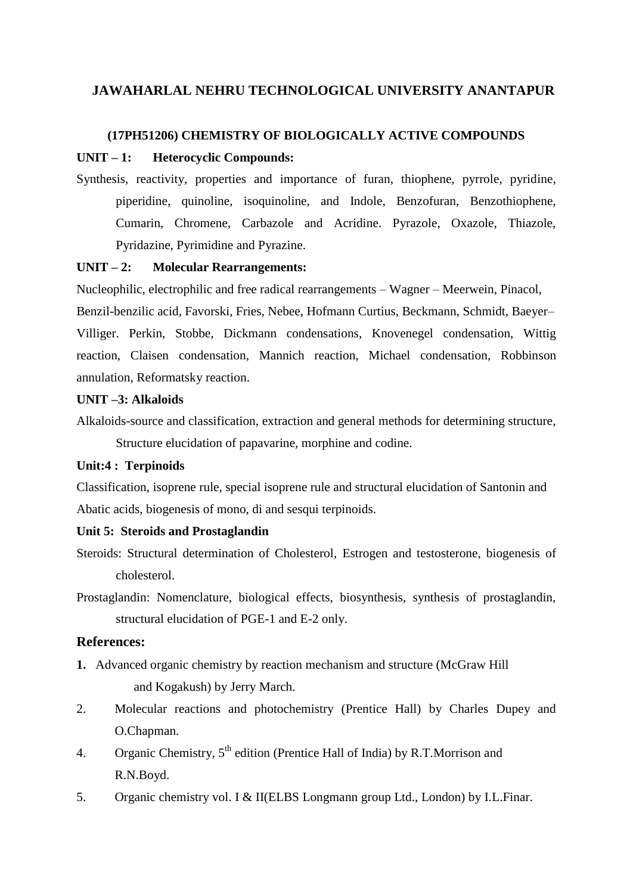#### **(17PH51206) CHEMISTRY OF BIOLOGICALLY ACTIVE COMPOUNDS**

#### **UNIT – 1: Heterocyclic Compounds:**

Synthesis, reactivity, properties and importance of furan, thiophene, pyrrole, pyridine, piperidine, quinoline, isoquinoline, and Indole, Benzofuran, Benzothiophene, Cumarin, Chromene, Carbazole and Acridine. Pyrazole, Oxazole, Thiazole, Pyridazine, Pyrimidine and Pyrazine.

#### **UNIT – 2: Molecular Rearrangements:**

Nucleophilic, electrophilic and free radical rearrangements – Wagner – Meerwein, Pinacol, Benzil-benzilic acid, Favorski, Fries, Nebee, Hofmann Curtius, Beckmann, Schmidt, Baeyer– Villiger. Perkin, Stobbe, Dickmann condensations, Knovenegel condensation, Wittig reaction, Claisen condensation, Mannich reaction, Michael condensation, Robbinson annulation, Reformatsky reaction.

#### **UNIT –3: Alkaloids**

Alkaloids-source and classification, extraction and general methods for determining structure, Structure elucidation of papavarine, morphine and codine.

#### **Unit:4 : Terpinoids**

Classification, isoprene rule, special isoprene rule and structural elucidation of Santonin and Abatic acids, biogenesis of mono, di and sesqui terpinoids.

#### **Unit 5: Steroids and Prostaglandin**

- Steroids: Structural determination of Cholesterol, Estrogen and testosterone, biogenesis of cholesterol.
- Prostaglandin: Nomenclature, biological effects, biosynthesis, synthesis of prostaglandin, structural elucidation of PGE-1 and E-2 only.

#### **References:**

- **1.** Advanced organic chemistry by reaction mechanism and structure (McGraw Hill and Kogakush) by Jerry March.
- 2. Molecular reactions and photochemistry (Prentice Hall) by Charles Dupey and O.Chapman.
- 4. Organic Chemistry,  $5<sup>th</sup>$  edition (Prentice Hall of India) by R.T. Morrison and R.N.Boyd.
- 5. Organic chemistry vol. I & II(ELBS Longmann group Ltd., London) by I.L.Finar.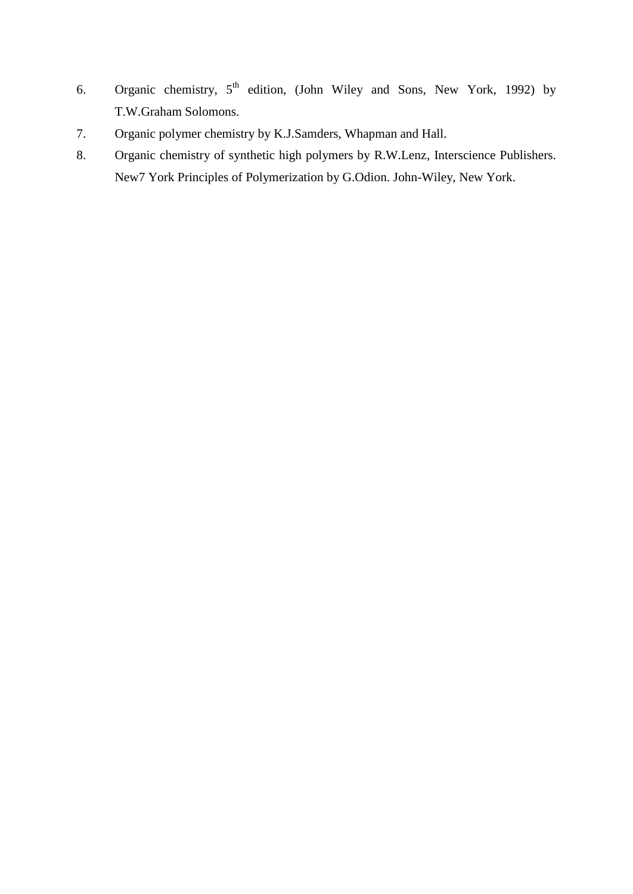- 6. Organic chemistry,  $5<sup>th</sup>$  edition, (John Wiley and Sons, New York, 1992) by T.W.Graham Solomons.
- 7. Organic polymer chemistry by K.J.Samders, Whapman and Hall.
- 8. Organic chemistry of synthetic high polymers by R.W.Lenz, Interscience Publishers. New7 York Principles of Polymerization by G.Odion. John-Wiley, New York.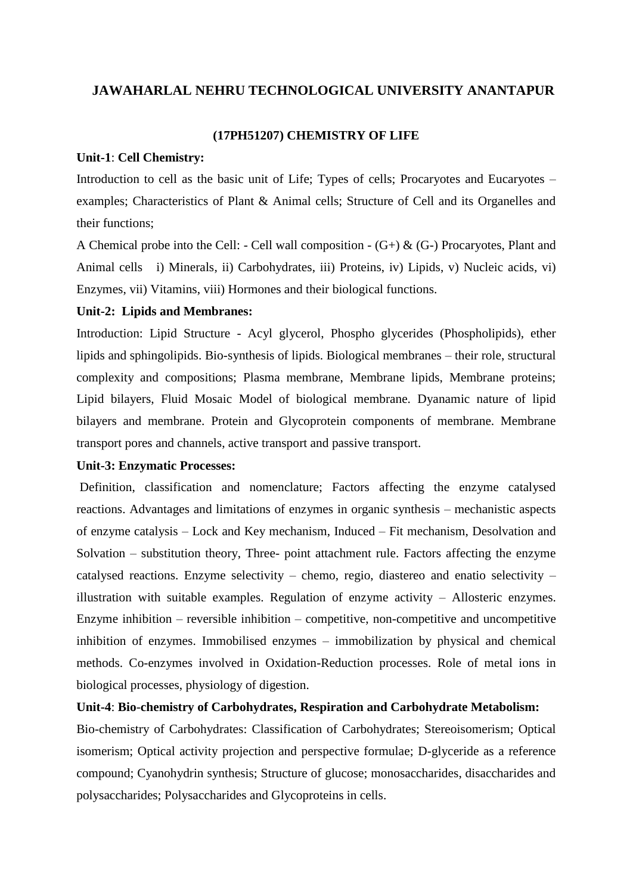#### **(17PH51207) CHEMISTRY OF LIFE**

#### **Unit-1**: **Cell Chemistry:**

Introduction to cell as the basic unit of Life; Types of cells; Procaryotes and Eucaryotes – examples; Characteristics of Plant & Animal cells; Structure of Cell and its Organelles and their functions;

A Chemical probe into the Cell: - Cell wall composition -  $(G+)$  &  $(G-)$  Procaryotes, Plant and Animal cells i) Minerals, ii) Carbohydrates, iii) Proteins, iv) Lipids, v) Nucleic acids, vi) Enzymes, vii) Vitamins, viii) Hormones and their biological functions.

#### **Unit-2: Lipids and Membranes:**

Introduction: Lipid Structure - Acyl glycerol, Phospho glycerides (Phospholipids), ether lipids and sphingolipids. Bio-synthesis of lipids. Biological membranes – their role, structural complexity and compositions; Plasma membrane, Membrane lipids, Membrane proteins; Lipid bilayers, Fluid Mosaic Model of biological membrane. Dyanamic nature of lipid bilayers and membrane. Protein and Glycoprotein components of membrane. Membrane transport pores and channels, active transport and passive transport.

#### **Unit-3: Enzymatic Processes:**

Definition, classification and nomenclature; Factors affecting the enzyme catalysed reactions. Advantages and limitations of enzymes in organic synthesis – mechanistic aspects of enzyme catalysis – Lock and Key mechanism, Induced – Fit mechanism, Desolvation and Solvation – substitution theory, Three- point attachment rule. Factors affecting the enzyme catalysed reactions. Enzyme selectivity – chemo, regio, diastereo and enatio selectivity – illustration with suitable examples. Regulation of enzyme activity – Allosteric enzymes. Enzyme inhibition – reversible inhibition – competitive, non-competitive and uncompetitive inhibition of enzymes. Immobilised enzymes – immobilization by physical and chemical methods. Co-enzymes involved in Oxidation-Reduction processes. Role of metal ions in biological processes, physiology of digestion.

#### **Unit-4**: **Bio**-**chemistry of Carbohydrates, Respiration and Carbohydrate Metabolism:**

Bio-chemistry of Carbohydrates: Classification of Carbohydrates; Stereoisomerism; Optical isomerism; Optical activity projection and perspective formulae; D-glyceride as a reference compound; Cyanohydrin synthesis; Structure of glucose; monosaccharides, disaccharides and polysaccharides; Polysaccharides and Glycoproteins in cells.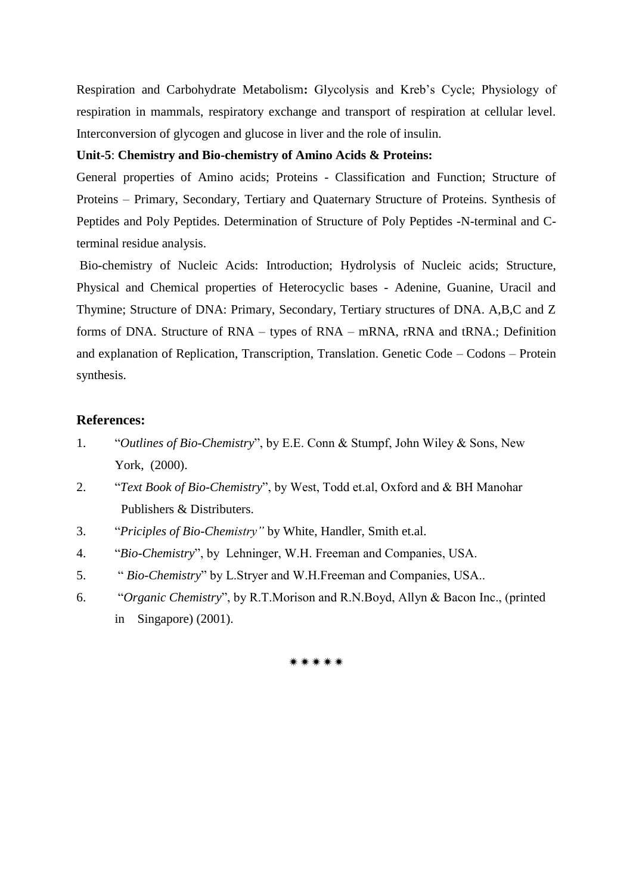Respiration and Carbohydrate Metabolism**:** Glycolysis and Kreb"s Cycle; Physiology of respiration in mammals, respiratory exchange and transport of respiration at cellular level. Interconversion of glycogen and glucose in liver and the role of insulin.

#### **Unit-5**: **Chemistry and Bio-chemistry of Amino Acids & Proteins:**

General properties of Amino acids; Proteins - Classification and Function; Structure of Proteins – Primary, Secondary, Tertiary and Quaternary Structure of Proteins. Synthesis of Peptides and Poly Peptides. Determination of Structure of Poly Peptides -N-terminal and Cterminal residue analysis.

Bio-chemistry of Nucleic Acids: Introduction; Hydrolysis of Nucleic acids; Structure, Physical and Chemical properties of Heterocyclic bases - Adenine, Guanine, Uracil and Thymine; Structure of DNA: Primary, Secondary, Tertiary structures of DNA. A,B,C and Z forms of DNA. Structure of RNA – types of RNA – mRNA, rRNA and tRNA.; Definition and explanation of Replication, Transcription, Translation. Genetic Code – Codons – Protein synthesis.

#### **References:**

- 1. "*Outlines of Bio-Chemistry*", by E.E. Conn & Stumpf, John Wiley & Sons, New York, (2000).
- 2. "*Text Book of Bio-Chemistry*", by West, Todd et.al, Oxford and & BH Manohar Publishers & Distributers.
- 3. "*Priciples of Bio-Chemistry"* by White, Handler, Smith et.al.
- 4. "*Bio-Chemistry*", by Lehninger, W.H. Freeman and Companies, USA.
- 5. " *Bio-Chemistry*" by L.Stryer and W.H.Freeman and Companies, USA..
- 6. "*Organic Chemistry*", by R.T.Morison and R.N.Boyd, Allyn & Bacon Inc., (printed in Singapore) (2001).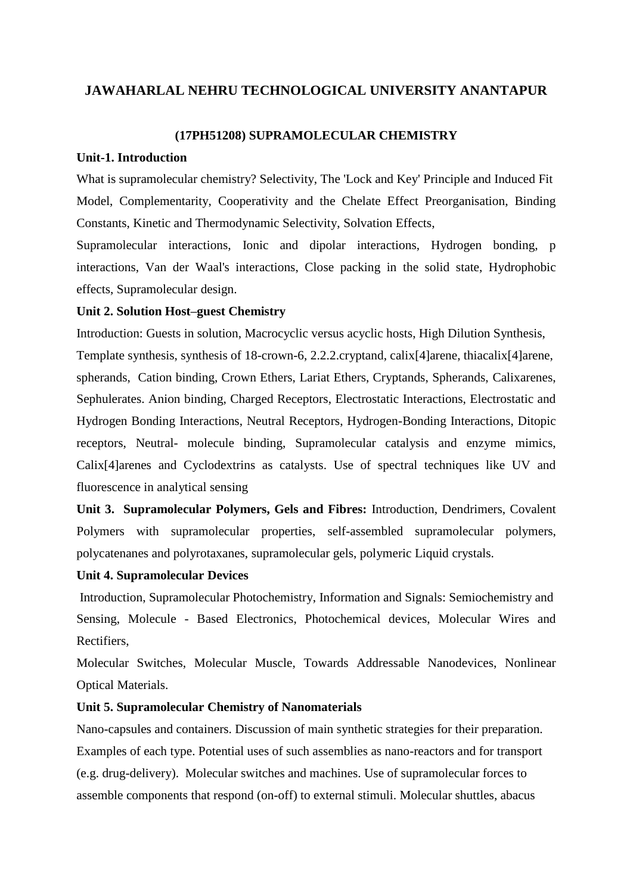#### **(17PH51208) SUPRAMOLECULAR CHEMISTRY**

#### **Unit-1. Introduction**

What is supramolecular chemistry? Selectivity, The 'Lock and Key' Principle and Induced Fit Model, Complementarity, Cooperativity and the Chelate Effect Preorganisation, Binding Constants, Kinetic and Thermodynamic Selectivity, Solvation Effects,

Supramolecular interactions, Ionic and dipolar interactions, Hydrogen bonding, p interactions, Van der Waal's interactions, Close packing in the solid state, Hydrophobic effects, Supramolecular design.

#### **Unit 2. Solution Host–guest Chemistry**

Introduction: Guests in solution, Macrocyclic versus acyclic hosts, High Dilution Synthesis,

Template synthesis, synthesis of 18-crown-6, 2.2.2.cryptand, calix[4]arene, thiacalix[4]arene, spherands, Cation binding, Crown Ethers, Lariat Ethers, Cryptands, Spherands, Calixarenes, Sephulerates. Anion binding, Charged Receptors, Electrostatic Interactions, Electrostatic and Hydrogen Bonding Interactions, Neutral Receptors, Hydrogen-Bonding Interactions, Ditopic receptors, Neutral- molecule binding, Supramolecular catalysis and enzyme mimics, Calix[4]arenes and Cyclodextrins as catalysts. Use of spectral techniques like UV and fluorescence in analytical sensing

**Unit 3. Supramolecular Polymers, Gels and Fibres:** Introduction, Dendrimers, Covalent Polymers with supramolecular properties, self-assembled supramolecular polymers, polycatenanes and polyrotaxanes, supramolecular gels, polymeric Liquid crystals.

#### **Unit 4. Supramolecular Devices**

Introduction, Supramolecular Photochemistry, Information and Signals: Semiochemistry and Sensing, Molecule - Based Electronics, Photochemical devices, Molecular Wires and Rectifiers,

Molecular Switches, Molecular Muscle, Towards Addressable Nanodevices, Nonlinear Optical Materials.

#### **Unit 5. Supramolecular Chemistry of Nanomaterials**

Nano-capsules and containers. Discussion of main synthetic strategies for their preparation. Examples of each type. Potential uses of such assemblies as nano-reactors and for transport (e.g. drug-delivery). Molecular switches and machines. Use of supramolecular forces to assemble components that respond (on-off) to external stimuli. Molecular shuttles, abacus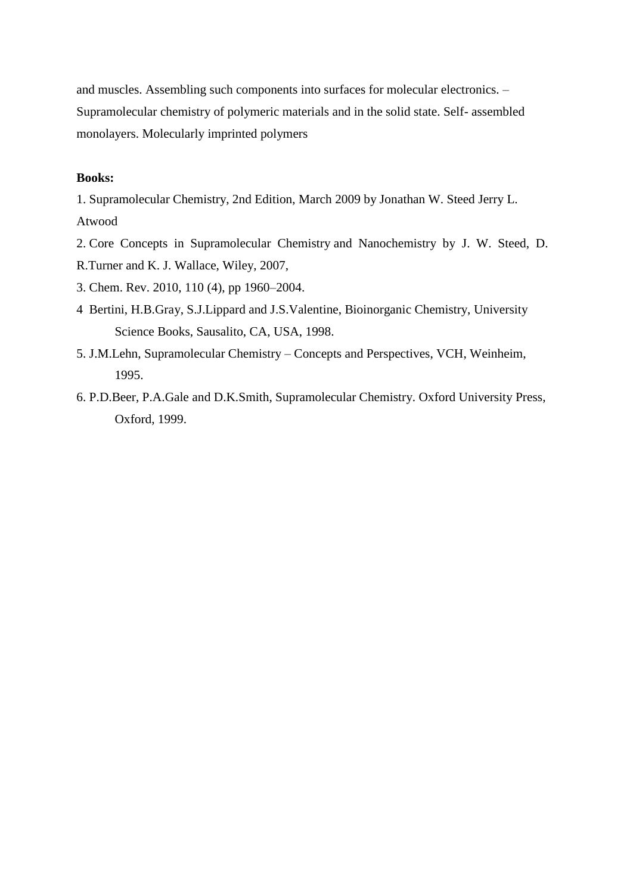and muscles. Assembling such components into surfaces for molecular electronics. – Supramolecular chemistry of polymeric materials and in the solid state. Self- assembled monolayers. Molecularly imprinted polymers

### **Books:**

1. Supramolecular Chemistry, 2nd Edition, March 2009 by Jonathan W. Steed Jerry L. Atwood

- 2. Core Concepts in Supramolecular Chemistry and Nanochemistry by J. W. Steed, D.
- R.Turner and K. J. Wallace, Wiley, 2007,
- 3. Chem. Rev. 2010, 110 (4), pp 1960–2004.
- 4 Bertini, H.B.Gray, S.J.Lippard and J.S.Valentine, Bioinorganic Chemistry, University Science Books, Sausalito, CA, USA, 1998.
- 5. J.M.Lehn, Supramolecular Chemistry Concepts and Perspectives, VCH, Weinheim, 1995.
- 6. P.D.Beer, P.A.Gale and D.K.Smith, Supramolecular Chemistry. Oxford University Press, Oxford, 1999.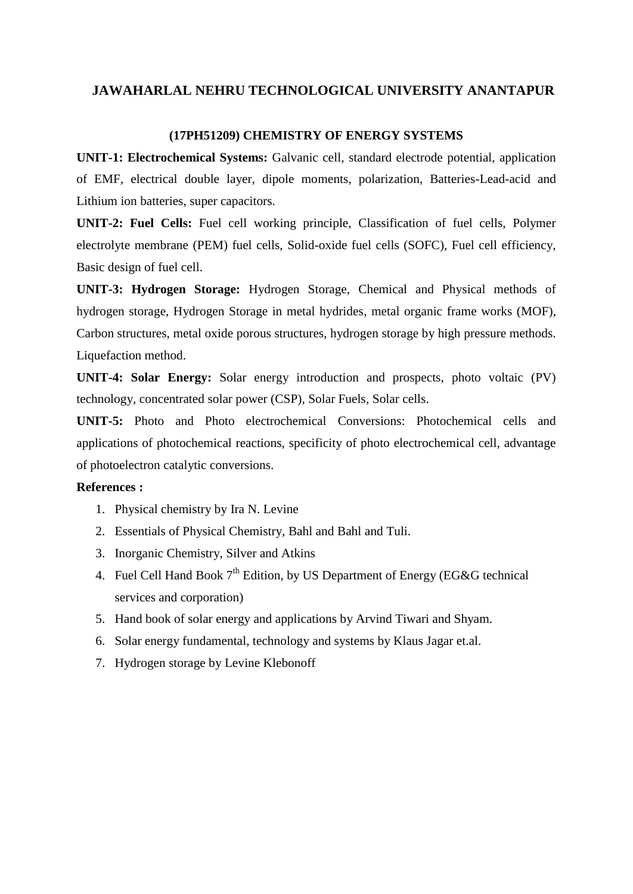#### **(17PH51209) CHEMISTRY OF ENERGY SYSTEMS**

**UNIT-1: Electrochemical Systems:** Galvanic cell, standard electrode potential, application of EMF, electrical double layer, dipole moments, polarization, Batteries-Lead-acid and Lithium ion batteries, super capacitors.

**UNIT-2: Fuel Cells:** Fuel cell working principle, Classification of fuel cells, Polymer electrolyte membrane (PEM) fuel cells, Solid-oxide fuel cells (SOFC), Fuel cell efficiency, Basic design of fuel cell.

**UNIT-3: Hydrogen Storage:** Hydrogen Storage, Chemical and Physical methods of hydrogen storage, Hydrogen Storage in metal hydrides, metal organic frame works (MOF), Carbon structures, metal oxide porous structures, hydrogen storage by high pressure methods. Liquefaction method.

**UNIT-4: Solar Energy:** Solar energy introduction and prospects, photo voltaic (PV) technology, concentrated solar power (CSP), Solar Fuels, Solar cells.

**UNIT-5:** Photo and Photo electrochemical Conversions: Photochemical cells and applications of photochemical reactions, specificity of photo electrochemical cell, advantage of photoelectron catalytic conversions.

#### **References :**

- 1. Physical chemistry by Ira N. Levine
- 2. Essentials of Physical Chemistry, Bahl and Bahl and Tuli.
- 3. Inorganic Chemistry, Silver and Atkins
- 4. Fuel Cell Hand Book  $7<sup>th</sup>$  Edition, by US Department of Energy (EG&G technical services and corporation)
- 5. Hand book of solar energy and applications by Arvind Tiwari and Shyam.
- 6. Solar energy fundamental, technology and systems by Klaus Jagar et.al.
- 7. Hydrogen storage by Levine Klebonoff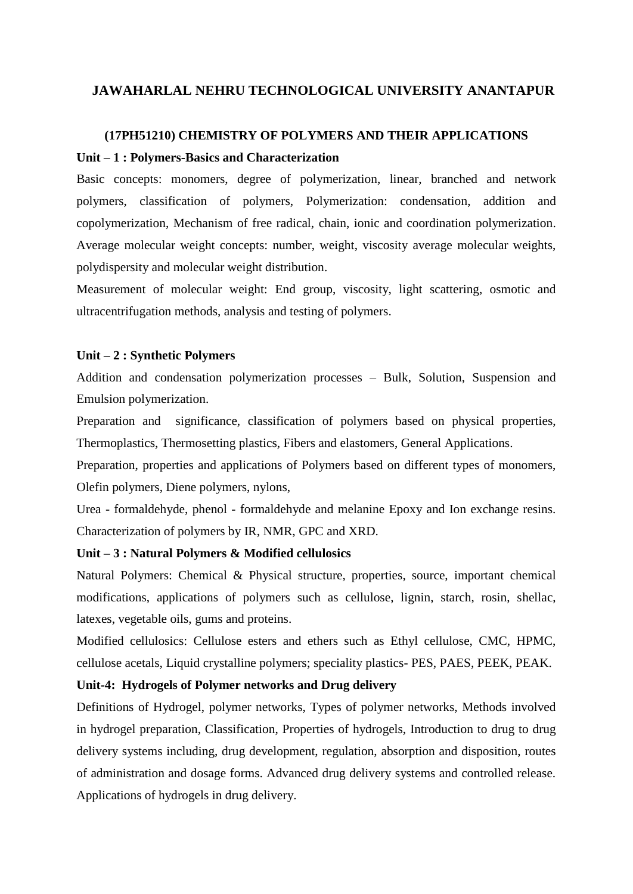# **(17PH51210) CHEMISTRY OF POLYMERS AND THEIR APPLICATIONS Unit – 1 : Polymers-Basics and Characterization**

Basic concepts: monomers, degree of polymerization, linear, branched and network polymers, classification of polymers, Polymerization: condensation, addition and copolymerization, Mechanism of free radical, chain, ionic and coordination polymerization. Average molecular weight concepts: number, weight, viscosity average molecular weights, polydispersity and molecular weight distribution.

Measurement of molecular weight: End group, viscosity, light scattering, osmotic and ultracentrifugation methods, analysis and testing of polymers.

#### **Unit – 2 : Synthetic Polymers**

Addition and condensation polymerization processes – Bulk, Solution, Suspension and Emulsion polymerization.

Preparation and significance, classification of polymers based on physical properties, Thermoplastics, Thermosetting plastics, Fibers and elastomers, General Applications.

Preparation, properties and applications of Polymers based on different types of monomers, Olefin polymers, Diene polymers, nylons,

Urea - formaldehyde, phenol - formaldehyde and melanine Epoxy and Ion exchange resins. Characterization of polymers by IR, NMR, GPC and XRD.

#### **Unit – 3 : Natural Polymers & Modified cellulosics**

Natural Polymers: Chemical & Physical structure, properties, source, important chemical modifications, applications of polymers such as cellulose, lignin, starch, rosin, shellac, latexes, vegetable oils, gums and proteins.

Modified cellulosics: Cellulose esters and ethers such as Ethyl cellulose, CMC, HPMC, cellulose acetals, Liquid crystalline polymers; speciality plastics- PES, PAES, PEEK, PEAK.

#### **Unit-4: Hydrogels of Polymer networks and Drug delivery**

Definitions of Hydrogel, polymer networks, Types of polymer networks, Methods involved in hydrogel preparation, Classification, Properties of hydrogels, Introduction to drug to drug delivery systems including, drug development, regulation, absorption and disposition, routes of administration and dosage forms. Advanced drug delivery systems and controlled release. Applications of hydrogels in drug delivery.